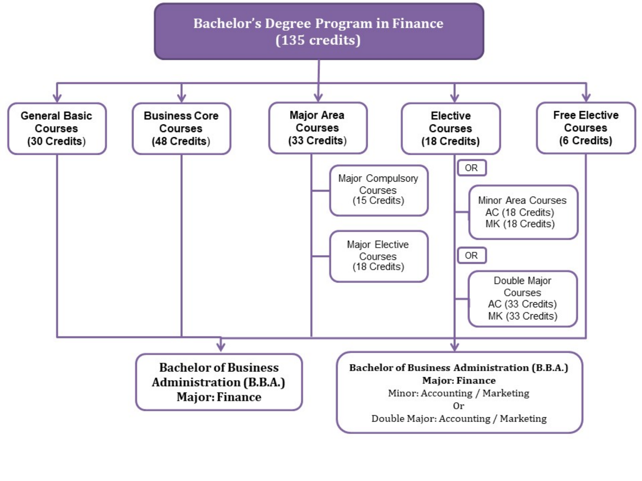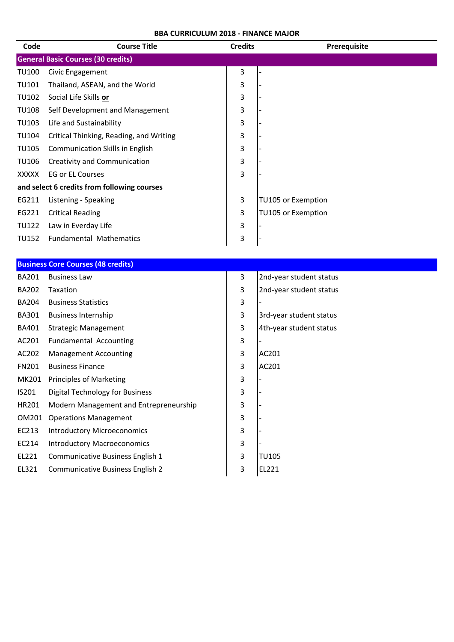| Code         | <b>Course Title</b>                         | <b>Credits</b> | Prerequisite            |
|--------------|---------------------------------------------|----------------|-------------------------|
|              | <b>General Basic Courses (30 credits)</b>   |                |                         |
| <b>TU100</b> | Civic Engagement                            | 3              |                         |
| <b>TU101</b> | Thailand, ASEAN, and the World              | 3              |                         |
| <b>TU102</b> | Social Life Skills or                       | 3              |                         |
| <b>TU108</b> | Self Development and Management             | 3              |                         |
| <b>TU103</b> | Life and Sustainability                     | 3              |                         |
| <b>TU104</b> | Critical Thinking, Reading, and Writing     | 3              |                         |
| <b>TU105</b> | Communication Skills in English             | 3              |                         |
| <b>TU106</b> | Creativity and Communication                | 3              |                         |
| <b>XXXXX</b> | <b>EG or EL Courses</b>                     | 3              |                         |
|              | and select 6 credits from following courses |                |                         |
| EG211        | Listening - Speaking                        | 3              | TU105 or Exemption      |
| EG221        | <b>Critical Reading</b>                     | 3              | TU105 or Exemption      |
| <b>TU122</b> | Law in Everday Life                         | 3              |                         |
| <b>TU152</b> | <b>Fundamental Mathematics</b>              | 3              |                         |
|              |                                             |                |                         |
|              | <b>Business Core Courses (48 credits)</b>   |                |                         |
| <b>BA201</b> | <b>Business Law</b>                         | 3              | 2nd-year student status |
| BA202        | Taxation                                    | 3              | 2nd-year student status |
| <b>BA204</b> | <b>Business Statistics</b>                  | 3              |                         |
| <b>BA301</b> | <b>Business Internship</b>                  | 3              | 3rd-year student status |
| BA401        | <b>Strategic Management</b>                 | 3              | 4th-year student status |
| AC201        | <b>Fundamental Accounting</b>               | 3              |                         |
| AC202        | <b>Management Accounting</b>                | 3              | AC201                   |
| FN201        | <b>Business Finance</b>                     | 3              | AC201                   |
|              | MK201 Principles of Marketing               | 3              |                         |
| IS201        | <b>Digital Technology for Business</b>      | 3              |                         |
| HR201        | Modern Management and Entrepreneurship      | 3              |                         |
| OM201        | <b>Operations Management</b>                | 3              |                         |
| EC213        | <b>Introductory Microeconomics</b>          | 3              |                         |
| EC214        | <b>Introductory Macroeconomics</b>          | 3              |                         |
| EL221        | Communicative Business English 1            | 3              | <b>TU105</b>            |
| EL321        | Communicative Business English 2            | 3              | EL221                   |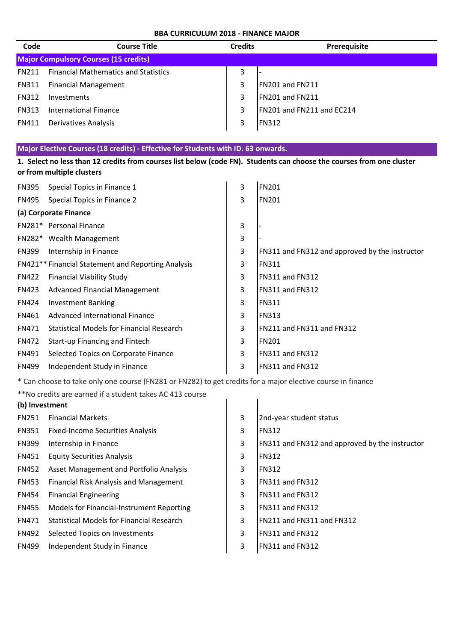| Code         | <b>Course Title</b>                          | <b>Credits</b> | Prerequisite              |
|--------------|----------------------------------------------|----------------|---------------------------|
|              | <b>Major Compulsory Courses (15 credits)</b> |                |                           |
| <b>FN211</b> | <b>Financial Mathematics and Statistics</b>  | 3              |                           |
| <b>FN311</b> | <b>Financial Management</b>                  | 3              | FN201 and FN211           |
| <b>FN312</b> | Investments                                  | 3              | FN201 and FN211           |
| <b>FN313</b> | <b>International Finance</b>                 | 3              | FN201 and FN211 and EC214 |
| <b>FN411</b> | Derivatives Analysis                         | 3              | <b>FN312</b>              |

# **Major Elective Courses (18 credits) - Effective for Students with ID. 63 onwards.**

| 1. Select no less than 12 credits from courses list below (code FN). Students can choose the courses from one cluster<br>or from multiple clusters |                                                    |                |                                                |  |
|----------------------------------------------------------------------------------------------------------------------------------------------------|----------------------------------------------------|----------------|------------------------------------------------|--|
| <b>FN395</b>                                                                                                                                       | Special Topics in Finance 1                        | 3              | <b>FN201</b>                                   |  |
| <b>FN495</b>                                                                                                                                       | Special Topics in Finance 2                        | $\overline{3}$ | <b>FN201</b>                                   |  |
|                                                                                                                                                    | (a) Corporate Finance                              |                |                                                |  |
|                                                                                                                                                    | FN281* Personal Finance                            | 3              |                                                |  |
|                                                                                                                                                    | FN282* Wealth Management                           | 3              |                                                |  |
| <b>FN399</b>                                                                                                                                       | Internship in Finance                              | 3              | FN311 and FN312 and approved by the instructor |  |
|                                                                                                                                                    | FN421** Financial Statement and Reporting Analysis | 3              | <b>FN311</b>                                   |  |
| <b>FN422</b>                                                                                                                                       | <b>Financial Viability Study</b>                   | 3              | FN311 and FN312                                |  |
| <b>FN423</b>                                                                                                                                       | <b>Advanced Financial Management</b>               | 3              | FN311 and FN312                                |  |
| <b>FN424</b>                                                                                                                                       | <b>Investment Banking</b>                          | 3              | <b>FN311</b>                                   |  |
| FN461                                                                                                                                              | Advanced International Finance                     | 3              | <b>FN313</b>                                   |  |
| <b>FN471</b>                                                                                                                                       | Statistical Models for Financial Research          | 3              | FN211 and FN311 and FN312                      |  |
| <b>FN472</b>                                                                                                                                       | Start-up Financing and Fintech                     | 3              | <b>FN201</b>                                   |  |
| FN491                                                                                                                                              | Selected Topics on Corporate Finance               | 3              | FN311 and FN312                                |  |
| <b>FN499</b>                                                                                                                                       | Independent Study in Finance                       | 3              | FN311 and FN312                                |  |

\* Can choose to take only one course (FN281 or FN282) to get credits for a major elective course in finance

\*\*No credits are earned if a student takes AC 413 course

| (b) Investment |                                               |   |                                                |
|----------------|-----------------------------------------------|---|------------------------------------------------|
| <b>FN251</b>   | <b>Financial Markets</b>                      | 3 | 2nd-year student status                        |
| <b>FN351</b>   | <b>Fixed-Income Securities Analysis</b>       | 3 | <b>IFN312</b>                                  |
| <b>FN399</b>   | Internship in Finance                         | 3 | FN311 and FN312 and approved by the instructor |
| <b>FN451</b>   | <b>Equity Securities Analysis</b>             | 3 | <b>IFN312</b>                                  |
| <b>FN452</b>   | Asset Management and Portfolio Analysis       | 3 | <b>IFN312</b>                                  |
| <b>FN453</b>   | <b>Financial Risk Analysis and Management</b> | 3 | FN311 and FN312                                |
| <b>FN454</b>   | <b>Financial Engineering</b>                  | 3 | FN311 and FN312                                |
| <b>FN455</b>   | Models for Financial-Instrument Reporting     | 3 | FN311 and FN312                                |
| <b>FN471</b>   | Statistical Models for Financial Research     | 3 | FN211 and FN311 and FN312                      |
| <b>FN492</b>   | Selected Topics on Investments                | 3 | FN311 and FN312                                |
| <b>FN499</b>   | Independent Study in Finance                  | 3 | <b>IFN311 and FN312</b>                        |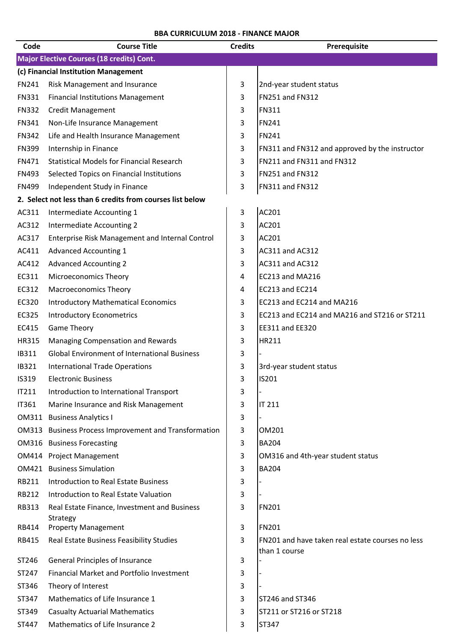| Code         | <b>Course Title</b>                                       | <b>Credits</b> | Prerequisite                                                      |  |  |  |
|--------------|-----------------------------------------------------------|----------------|-------------------------------------------------------------------|--|--|--|
|              | Major Elective Courses (18 credits) Cont.                 |                |                                                                   |  |  |  |
|              | (c) Financial Institution Management                      |                |                                                                   |  |  |  |
| FN241        | Risk Management and Insurance                             | 3              | 2nd-year student status                                           |  |  |  |
| <b>FN331</b> | <b>Financial Institutions Management</b>                  | 3              | FN251 and FN312                                                   |  |  |  |
| <b>FN332</b> | <b>Credit Management</b>                                  | 3              | <b>FN311</b>                                                      |  |  |  |
| FN341        | Non-Life Insurance Management                             | 3              | <b>FN241</b>                                                      |  |  |  |
| <b>FN342</b> | Life and Health Insurance Management                      | 3              | <b>FN241</b>                                                      |  |  |  |
| <b>FN399</b> | Internship in Finance                                     | 3              | FN311 and FN312 and approved by the instructor                    |  |  |  |
| FN471        | <b>Statistical Models for Financial Research</b>          | 3              | FN211 and FN311 and FN312                                         |  |  |  |
| <b>FN493</b> | Selected Topics on Financial Institutions                 | 3              | FN251 and FN312                                                   |  |  |  |
| <b>FN499</b> | Independent Study in Finance                              | 3              | FN311 and FN312                                                   |  |  |  |
|              | 2. Select not less than 6 credits from courses list below |                |                                                                   |  |  |  |
| AC311        | Intermediate Accounting 1                                 | 3              | AC201                                                             |  |  |  |
| AC312        | Intermediate Accounting 2                                 | 3              | AC201                                                             |  |  |  |
| AC317        | Enterprise Risk Management and Internal Control           | 3              | AC201                                                             |  |  |  |
| AC411        | <b>Advanced Accounting 1</b>                              | 3              | AC311 and AC312                                                   |  |  |  |
| AC412        | <b>Advanced Accounting 2</b>                              | 3              | AC311 and AC312                                                   |  |  |  |
| EC311        | Microeconomics Theory                                     | 4              | EC213 and MA216                                                   |  |  |  |
| EC312        | <b>Macroeconomics Theory</b>                              | 4              | EC213 and EC214                                                   |  |  |  |
| EC320        | <b>Introductory Mathematical Economics</b>                | 3              | EC213 and EC214 and MA216                                         |  |  |  |
| EC325        | <b>Introductory Econometrics</b>                          | 3              | EC213 and EC214 and MA216 and ST216 or ST211                      |  |  |  |
| EC415        | <b>Game Theory</b>                                        | 3              | EE311 and EE320                                                   |  |  |  |
| HR315        | Managing Compensation and Rewards                         | 3              | <b>HR211</b>                                                      |  |  |  |
| IB311        | <b>Global Environment of International Business</b>       | 3              |                                                                   |  |  |  |
| IB321        | <b>International Trade Operations</b>                     | 3              | 3rd-year student status                                           |  |  |  |
| IS319        | Electronic Business                                       | 3              | <b>IS201</b>                                                      |  |  |  |
| IT211        | Introduction to International Transport                   | 3              |                                                                   |  |  |  |
| IT361        | Marine Insurance and Risk Management                      | 3              | <b>IT 211</b>                                                     |  |  |  |
|              | <b>OM311 Business Analytics I</b>                         | 3              |                                                                   |  |  |  |
|              | OM313 Business Process Improvement and Transformation     | 3              | OM201                                                             |  |  |  |
|              | <b>OM316</b> Business Forecasting                         | 3              | <b>BA204</b>                                                      |  |  |  |
|              | OM414 Project Management                                  | 3              | OM316 and 4th-year student status                                 |  |  |  |
|              | OM421 Business Simulation                                 | 3              | <b>BA204</b>                                                      |  |  |  |
| RB211        | <b>Introduction to Real Estate Business</b>               | 3              |                                                                   |  |  |  |
| RB212        | Introduction to Real Estate Valuation                     | 3              |                                                                   |  |  |  |
| <b>RB313</b> | Real Estate Finance, Investment and Business              | 3              | <b>FN201</b>                                                      |  |  |  |
|              | Strategy                                                  |                |                                                                   |  |  |  |
| RB414        | <b>Property Management</b>                                | 3              | <b>FN201</b>                                                      |  |  |  |
| RB415        | Real Estate Business Feasibility Studies                  | 3              | FN201 and have taken real estate courses no less<br>than 1 course |  |  |  |
| ST246        | General Principles of Insurance                           | 3              |                                                                   |  |  |  |
| ST247        | Financial Market and Portfolio Investment                 | 3              |                                                                   |  |  |  |
| ST346        | Theory of Interest                                        | 3              |                                                                   |  |  |  |
| ST347        | Mathematics of Life Insurance 1                           | 3              | ST246 and ST346                                                   |  |  |  |
| ST349        | <b>Casualty Actuarial Mathematics</b>                     | 3              | ST211 or ST216 or ST218                                           |  |  |  |
| ST447        | Mathematics of Life Insurance 2                           | 3              | ST347                                                             |  |  |  |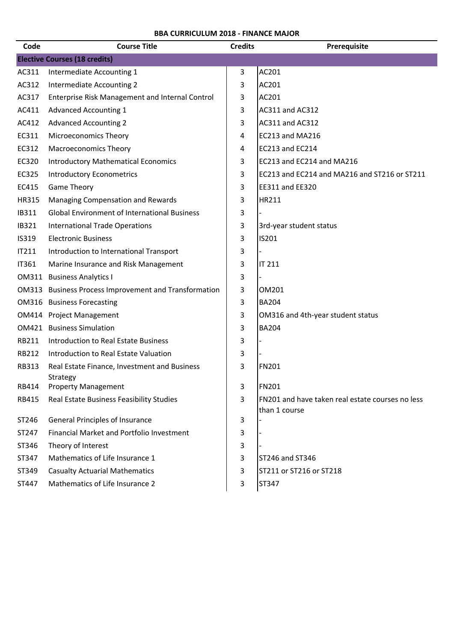| Code         | <b>Course Title</b>                                      | <b>Credits</b> | Prerequisite                                     |
|--------------|----------------------------------------------------------|----------------|--------------------------------------------------|
|              | <b>Elective Courses (18 credits)</b>                     |                |                                                  |
| AC311        | Intermediate Accounting 1                                | 3              | AC201                                            |
| AC312        | Intermediate Accounting 2                                | 3              | AC201                                            |
| AC317        | Enterprise Risk Management and Internal Control          | 3              | AC201                                            |
| AC411        | <b>Advanced Accounting 1</b>                             | 3              | AC311 and AC312                                  |
| AC412        | <b>Advanced Accounting 2</b>                             | 3              | AC311 and AC312                                  |
| EC311        | <b>Microeconomics Theory</b>                             | 4              | <b>EC213 and MA216</b>                           |
| EC312        | <b>Macroeconomics Theory</b>                             | 4              | EC213 and EC214                                  |
| EC320        | <b>Introductory Mathematical Economics</b>               | 3              | EC213 and EC214 and MA216                        |
| EC325        | <b>Introductory Econometrics</b>                         | 3              | EC213 and EC214 and MA216 and ST216 or ST211     |
| EC415        | <b>Game Theory</b>                                       | 3              | EE311 and EE320                                  |
| HR315        | Managing Compensation and Rewards                        | 3              | HR211                                            |
| IB311        | <b>Global Environment of International Business</b>      | 3              |                                                  |
| IB321        | <b>International Trade Operations</b>                    | 3              | 3rd-year student status                          |
| IS319        | <b>Electronic Business</b>                               | 3              | IS201                                            |
| IT211        | Introduction to International Transport                  | 3              |                                                  |
| IT361        | Marine Insurance and Risk Management                     | 3              | IT 211                                           |
|              | <b>OM311 Business Analytics I</b>                        | 3              |                                                  |
|              | OM313 Business Process Improvement and Transformation    | 3              | OM201                                            |
|              | OM316 Business Forecasting                               | 3              | <b>BA204</b>                                     |
|              | OM414 Project Management                                 | 3              | OM316 and 4th-year student status                |
|              | <b>OM421 Business Simulation</b>                         | 3              | <b>BA204</b>                                     |
| RB211        | Introduction to Real Estate Business                     | 3              |                                                  |
| <b>RB212</b> | Introduction to Real Estate Valuation                    | 3              |                                                  |
| RB313        | Real Estate Finance, Investment and Business<br>Strategy | 3              | FN201                                            |
| RB414        | <b>Property Management</b>                               | 3              | <b>FN201</b>                                     |
| RB415        | Real Estate Business Feasibility Studies                 | 3              | FN201 and have taken real estate courses no less |
| ST246        | <b>General Principles of Insurance</b>                   | 3              | than 1 course                                    |
| ST247        | Financial Market and Portfolio Investment                | 3              |                                                  |
| ST346        | Theory of Interest                                       | 3              |                                                  |
| ST347        | Mathematics of Life Insurance 1                          | 3              | ST246 and ST346                                  |
| ST349        | <b>Casualty Actuarial Mathematics</b>                    | 3              | ST211 or ST216 or ST218                          |
| ST447        | Mathematics of Life Insurance 2                          | 3              | ST347                                            |